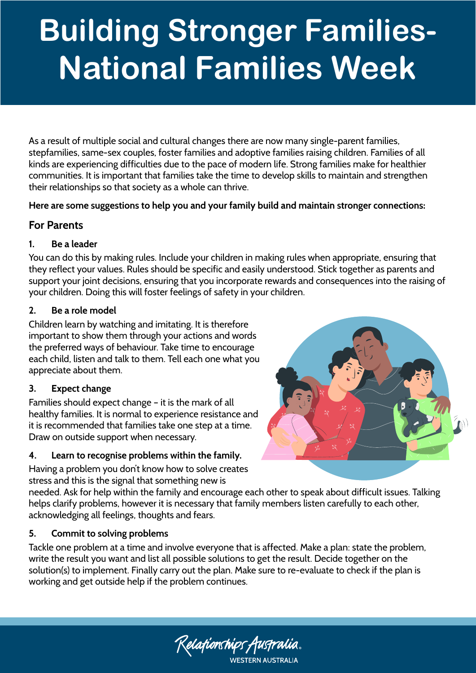# **Building Stronger Families-National Families Week**

As a result of multiple social and cultural changes there are now many single-parent families, stepfamilies, same-sex couples, foster families and adoptive families raising children. Families of all kinds are experiencing difficulties due to the pace of modern life. Strong families make for healthier communities. It is important that families take the time to develop skills to maintain and strengthen their relationships so that society as a whole can thrive.

**Here are some suggestions to help you and your family build and maintain stronger connections:** 

## **For Parents**

## **1. Be a leader**

You can do this by making rules. Include your children in making rules when appropriate, ensuring that they reflect your values. Rules should be specific and easily understood. Stick together as parents and support your joint decisions, ensuring that you incorporate rewards and consequences into the raising of your children. Doing this will foster feelings of safety in your children.

#### **2. Be a role model**

Children learn by watching and imitating. It is therefore important to show them through your actions and words the preferred ways of behaviour. Take time to encourage each child, listen and talk to them. Tell each one what you appreciate about them.

#### **3. Expect change**

Families should expect change – it is the mark of all healthy families. It is normal to experience resistance and it is recommended that families take one step at a time. Draw on outside support when necessary.

## **4. Learn to recognise problems within the family.**

Having a problem you don't know how to solve creates stress and this is the signal that something new is

needed. Ask for help within the family and encourage each other to speak about difficult issues. Talking helps clarify problems, however it is necessary that family members listen carefully to each other, acknowledging all feelings, thoughts and fears.

## **5. Commit to solving problems**

Tackle one problem at a time and involve everyone that is affected. Make a plan: state the problem, write the result you want and list all possible solutions to get the result. Decide together on the solution(s) to implement. Finally carry out the plan. Make sure to re-evaluate to check if the plan is working and get outside help if the problem continues.